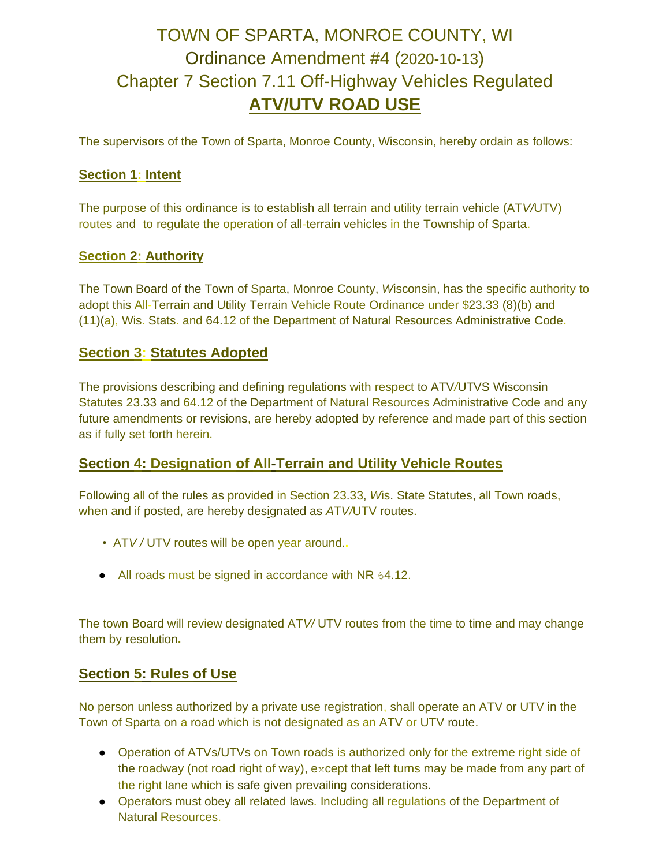# TOWN OF SPARTA, MONROE COUNTY, WI Ordinance Amendment #4 (2020-10-13) Chapter 7 Section 7.11 Off-Highway Vehicles Regulated **ATV/UTV ROAD USE**

The supervisors of the Town of Sparta, Monroe County, Wisconsin, hereby ordain as follows:

#### **Section 1: Intent**

The purpose of this ordinance is to establish all terrain and utility terrain vehicle (AT*V/*UTV) routes and to regulate the operation of all-terrain vehicles in the Township of Sparta.

#### **Section 2: Authority**

The Town Board of the Town of Sparta, Monroe County, *W*isconsin, has the specific authority to adopt this All-Terrain and Utility Terrain Vehicle Route Ordinance under \$23.33 (8)(b) and (11)(a), Wis. Stats. and 64.12 of the Department of Natural Resources Administrative Code**.**

## **Section 3: Statutes Adopted**

The provisions describing and defining regulations with respect to ATV*/*UTVS Wisconsin Statutes 23.33 and 64.12 of the Department of Natural Resources Administrative Code and any future amendments or revisions, are hereby adopted by reference and made part of this section as if fully set forth herein.

## **Section 4: Designation of All-Terrain and Utility Vehicle Routes**

Following all of the rules as provided in Section 23.33, *W*is. State Statutes, all Town roads, when and if posted, are hereby designated as *A*T*V/*UTV routes.

- AT*V /* UTV routes will be open year around.**.**
- All roads must be signed in accordance with NR 64.12.

The town Board will review designated AT*V/* UTV routes from the time to time and may change them by resolution**.** 

## **Section 5: Rules of Use**

No person unless authorized by a private use registration, shall operate an ATV or UTV in the Town of Sparta on a road which is not designated as an ATV or UTV route.

- Operation of ATVs/UTVs on Town roads is authorized only for the extreme right side of the roadway (not road right of way), except that left turns may be made from any part of the right lane which is safe given prevailing considerations.
- Operators must obey all related laws. Including all regulations of the Department of Natural Resources.